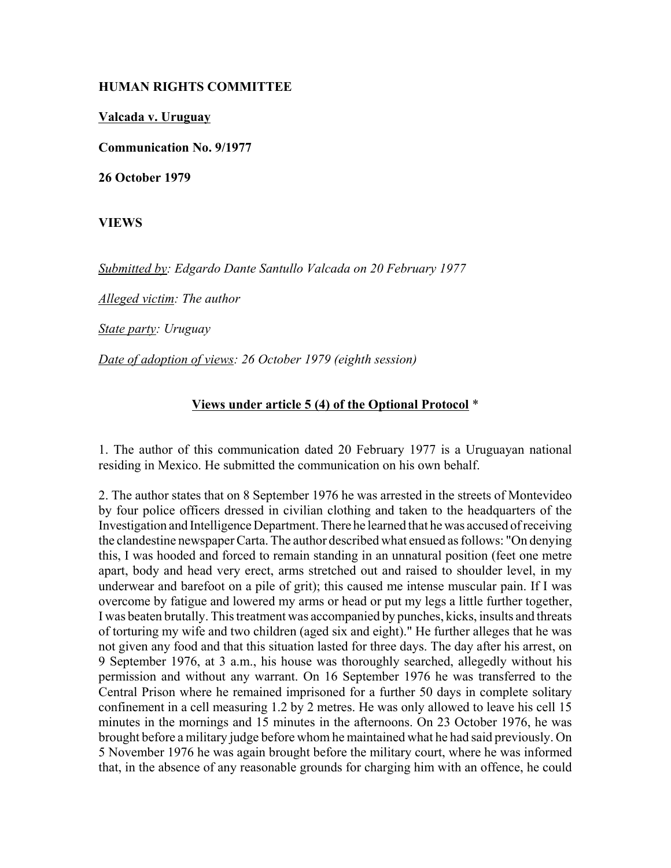## **HUMAN RIGHTS COMMITTEE**

**Valcada v. Uruguay**

**Communication No. 9/1977**

**26 October 1979**

**VIEWS**

*Submitted by: Edgardo Dante Santullo Valcada on 20 February 1977* 

*Alleged victim: The author* 

*State party: Uruguay* 

*Date of adoption of views: 26 October 1979 (eighth session)* 

## **Views under article 5 (4) of the Optional Protocol** \*

1. The author of this communication dated 20 February 1977 is a Uruguayan national residing in Mexico. He submitted the communication on his own behalf.

2. The author states that on 8 September 1976 he was arrested in the streets of Montevideo by four police officers dressed in civilian clothing and taken to the headquarters of the Investigation and Intelligence Department. There he learned that he was accused of receiving the clandestine newspaper Carta. The author described what ensued as follows: "On denying this, I was hooded and forced to remain standing in an unnatural position (feet one metre apart, body and head very erect, arms stretched out and raised to shoulder level, in my underwear and barefoot on a pile of grit); this caused me intense muscular pain. If I was overcome by fatigue and lowered my arms or head or put my legs a little further together, I was beaten brutally. This treatment was accompanied by punches, kicks, insults and threats of torturing my wife and two children (aged six and eight)." He further alleges that he was not given any food and that this situation lasted for three days. The day after his arrest, on 9 September 1976, at 3 a.m., his house was thoroughly searched, allegedly without his permission and without any warrant. On 16 September 1976 he was transferred to the Central Prison where he remained imprisoned for a further 50 days in complete solitary confinement in a cell measuring 1.2 by 2 metres. He was only allowed to leave his cell 15 minutes in the mornings and 15 minutes in the afternoons. On 23 October 1976, he was brought before a military judge before whom he maintained what he had said previously. On 5 November 1976 he was again brought before the military court, where he was informed that, in the absence of any reasonable grounds for charging him with an offence, he could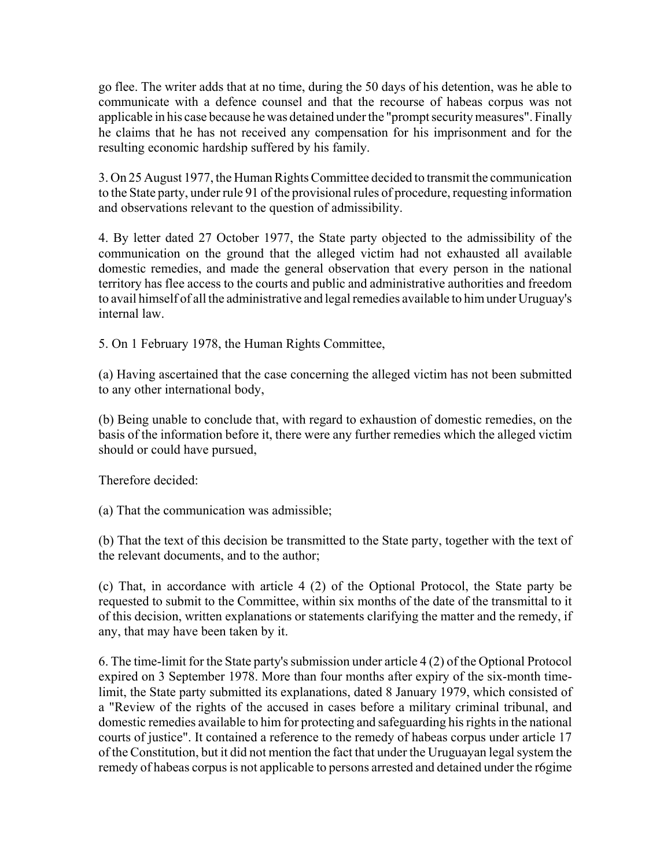go flee. The writer adds that at no time, during the 50 days of his detention, was he able to communicate with a defence counsel and that the recourse of habeas corpus was not applicable in his case because he was detained under the "prompt security measures". Finally he claims that he has not received any compensation for his imprisonment and for the resulting economic hardship suffered by his family.

3. On 25 August 1977, the Human Rights Committee decided to transmit the communication to the State party, under rule 91 of the provisional rules of procedure, requesting information and observations relevant to the question of admissibility.

4. By letter dated 27 October 1977, the State party objected to the admissibility of the communication on the ground that the alleged victim had not exhausted all available domestic remedies, and made the general observation that every person in the national territory has flee access to the courts and public and administrative authorities and freedom to avail himself of all the administrative and legal remedies available to him under Uruguay's internal law.

5. On 1 February 1978, the Human Rights Committee,

(a) Having ascertained that the case concerning the alleged victim has not been submitted to any other international body,

(b) Being unable to conclude that, with regard to exhaustion of domestic remedies, on the basis of the information before it, there were any further remedies which the alleged victim should or could have pursued,

Therefore decided:

(a) That the communication was admissible;

(b) That the text of this decision be transmitted to the State party, together with the text of the relevant documents, and to the author;

(c) That, in accordance with article 4 (2) of the Optional Protocol, the State party be requested to submit to the Committee, within six months of the date of the transmittal to it of this decision, written explanations or statements clarifying the matter and the remedy, if any, that may have been taken by it.

6. The time-limit for the State party's submission under article 4 (2) of the Optional Protocol expired on 3 September 1978. More than four months after expiry of the six-month timelimit, the State party submitted its explanations, dated 8 January 1979, which consisted of a "Review of the rights of the accused in cases before a military criminal tribunal, and domestic remedies available to him for protecting and safeguarding his rights in the national courts of justice". It contained a reference to the remedy of habeas corpus under article 17 of the Constitution, but it did not mention the fact that under the Uruguayan legal system the remedy of habeas corpus is not applicable to persons arrested and detained under the r6gime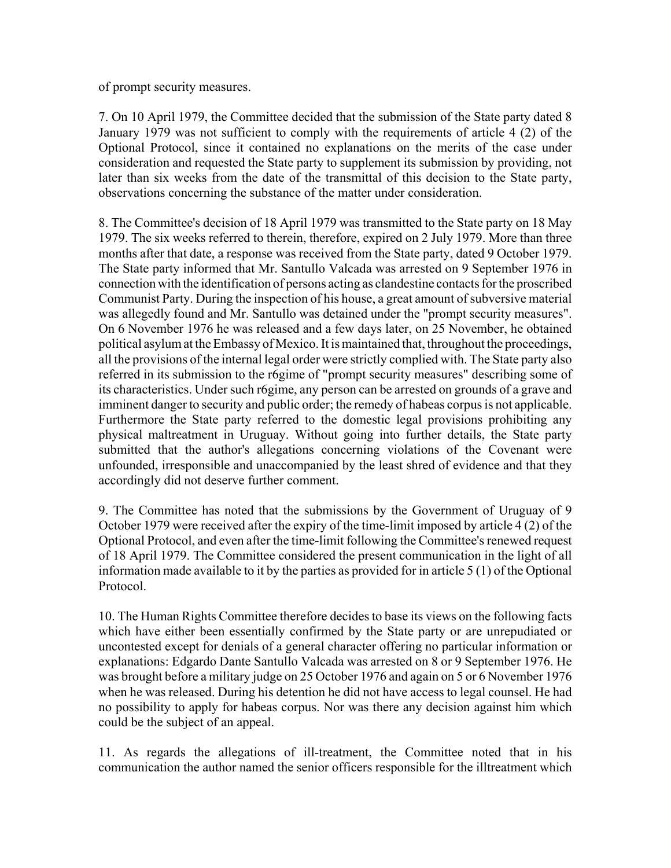of prompt security measures.

7. On 10 April 1979, the Committee decided that the submission of the State party dated 8 January 1979 was not sufficient to comply with the requirements of article 4 (2) of the Optional Protocol, since it contained no explanations on the merits of the case under consideration and requested the State party to supplement its submission by providing, not later than six weeks from the date of the transmittal of this decision to the State party, observations concerning the substance of the matter under consideration.

8. The Committee's decision of 18 April 1979 was transmitted to the State party on 18 May 1979. The six weeks referred to therein, therefore, expired on 2 July 1979. More than three months after that date, a response was received from the State party, dated 9 October 1979. The State party informed that Mr. Santullo Valcada was arrested on 9 September 1976 in connection with the identification of persons acting as clandestine contacts for the proscribed Communist Party. During the inspection of his house, a great amount of subversive material was allegedly found and Mr. Santullo was detained under the "prompt security measures". On 6 November 1976 he was released and a few days later, on 25 November, he obtained political asylum at the Embassy of Mexico. It is maintained that, throughout the proceedings, all the provisions of the internal legal order were strictly complied with. The State party also referred in its submission to the r6gime of "prompt security measures" describing some of its characteristics. Under such r6gime, any person can be arrested on grounds of a grave and imminent danger to security and public order; the remedy of habeas corpus is not applicable. Furthermore the State party referred to the domestic legal provisions prohibiting any physical maltreatment in Uruguay. Without going into further details, the State party submitted that the author's allegations concerning violations of the Covenant were unfounded, irresponsible and unaccompanied by the least shred of evidence and that they accordingly did not deserve further comment.

9. The Committee has noted that the submissions by the Government of Uruguay of 9 October 1979 were received after the expiry of the time-limit imposed by article 4 (2) of the Optional Protocol, and even after the time-limit following the Committee's renewed request of 18 April 1979. The Committee considered the present communication in the light of all information made available to it by the parties as provided for in article 5 (1) of the Optional Protocol.

10. The Human Rights Committee therefore decides to base its views on the following facts which have either been essentially confirmed by the State party or are unrepudiated or uncontested except for denials of a general character offering no particular information or explanations: Edgardo Dante Santullo Valcada was arrested on 8 or 9 September 1976. He was brought before a military judge on 25 October 1976 and again on 5 or 6 November 1976 when he was released. During his detention he did not have access to legal counsel. He had no possibility to apply for habeas corpus. Nor was there any decision against him which could be the subject of an appeal.

11. As regards the allegations of ill-treatment, the Committee noted that in his communication the author named the senior officers responsible for the illtreatment which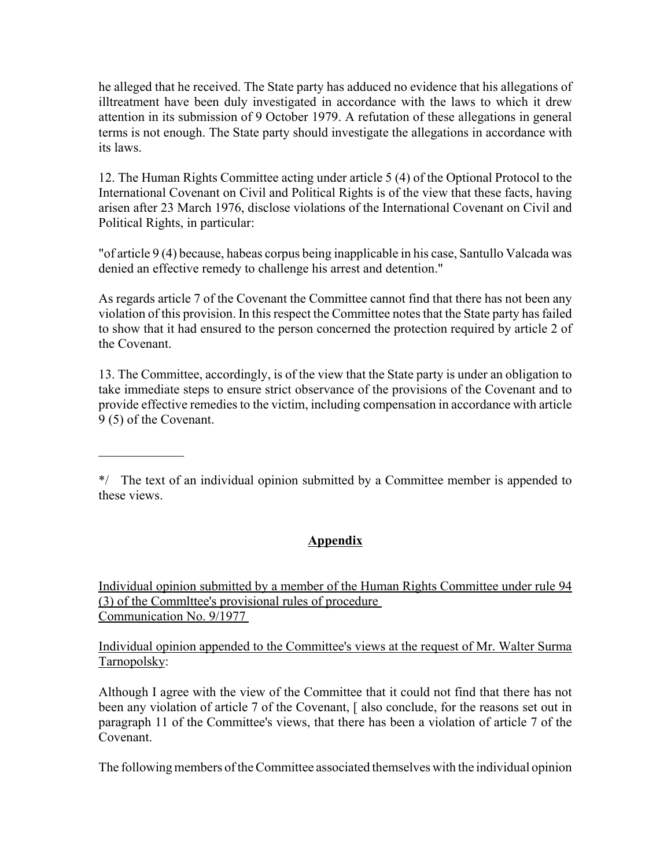he alleged that he received. The State party has adduced no evidence that his allegations of illtreatment have been duly investigated in accordance with the laws to which it drew attention in its submission of 9 October 1979. A refutation of these allegations in general terms is not enough. The State party should investigate the allegations in accordance with its laws.

12. The Human Rights Committee acting under article 5 (4) of the Optional Protocol to the International Covenant on Civil and Political Rights is of the view that these facts, having arisen after 23 March 1976, disclose violations of the International Covenant on Civil and Political Rights, in particular:

"of article 9 (4) because, habeas corpus being inapplicable in his case, Santullo Valcada was denied an effective remedy to challenge his arrest and detention."

As regards article 7 of the Covenant the Committee cannot find that there has not been any violation of this provision. In this respect the Committee notes that the State party has failed to show that it had ensured to the person concerned the protection required by article 2 of the Covenant.

13. The Committee, accordingly, is of the view that the State party is under an obligation to take immediate steps to ensure strict observance of the provisions of the Covenant and to provide effective remedies to the victim, including compensation in accordance with article 9 (5) of the Covenant.

\*/ The text of an individual opinion submitted by a Committee member is appended to these views.

 $\mathcal{L}_\text{max}$ 

## **Appendix**

Individual opinion submitted by a member of the Human Rights Committee under rule 94 (3) of the Commlttee's provisional rules of procedure Communication No. 9/1977

Individual opinion appended to the Committee's views at the request of Mr. Walter Surma Tarnopolsky:

Although I agree with the view of the Committee that it could not find that there has not been any violation of article 7 of the Covenant, [also conclude, for the reasons set out in paragraph 11 of the Committee's views, that there has been a violation of article 7 of the Covenant.

The following members of the Committee associated themselves with the individual opinion